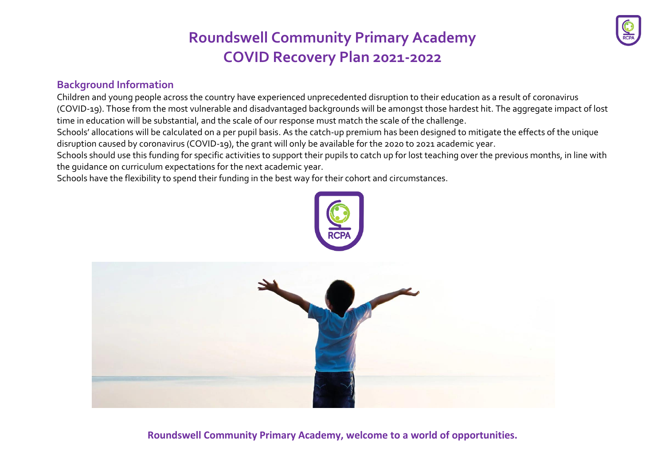### **Background Information**

Children and young people across the country have experienced unprecedented disruption to their education as a result of coronavirus (COVID-19). Those from the most vulnerable and disadvantaged backgrounds will be amongst those hardest hit. The aggregate impact of lost time in education will be substantial, and the scale of our response must match the scale of the challenge.

Schools' allocations will be calculated on a per pupil basis. As the catch-up premium has been designed to mitigate the effects of the unique disruption caused by coronavirus (COVID-19), the grant will only be available for the 2020 to 2021 academic year.

Schools should use this funding for specific activities to support their pupils to catch up for lost teaching over the previous months, in line with the guidance on curriculum [expectations](https://www.gov.uk/government/publications/actions-for-schools-during-the-coronavirus-outbreak/guidance-for-full-opening-schools#section-3-curriculum-behaviour-and-pastoral-support) for the next academic year.

Schools have the flexibility to spend their funding in the best way for their cohort and circumstances.

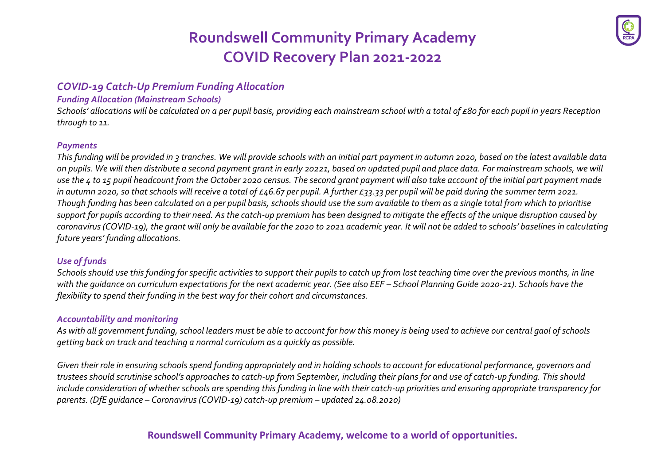### *COVID-19 Catch-Up Premium Funding Allocation*

#### *Funding Allocation (Mainstream Schools)*

*Schools' allocations will be calculated on a per pupil basis, providing each mainstream school with a total of £80 for each pupil in years Reception through to 11.*

#### *Payments*

*This funding will be provided in 3 tranches. We will provide schools with an initial part payment in autumn 2020, based on the latest available data on pupils. We will then distribute a second payment grant in early 20221, based on updated pupil and place data. For mainstream schools, we will use the 4 to 15 pupil headcount from the October 2020 census. The second grant payment will also take account of the initial part payment made in autumn 2020, so that schools will receive a total of £46.67 per pupil. A further £33.33 per pupil will be paid during the summer term 2021. Though funding has been calculated on a per pupil basis, schools should use the sum available to them as a single total from which to prioritise support for pupils according to their need. As the catch-up premium has been designed to mitigate the effects of the unique disruption caused by coronavirus (COVID-19), the grant will only be available for the 2020 to 2021 academic year. It will not be added to schools' baselines in calculating future years' funding allocations.*

### *Use of funds*

*Schools should use this funding for specific activities to support their pupils to catch up from lost teaching time over the previous months, in line*  with the quidance on curriculum expectations for the next academic year. (See also EEF - School Planning Guide 2020-21). Schools have the *flexibility to spend their funding in the best way for their cohort and circumstances.*

#### *Accountability and monitoring*

*As with all government funding, school leaders must be able to account for how this money is being used to achieve our central gaol of schools getting back on track and teaching a normal curriculum as a quickly as possible.*

*Given their role in ensuring schools spend funding appropriately and in holding schools to account for educational performance, governors and trustees should scrutinise school's approaches to catch-up from September, including their plans for and use of catch-up funding. This should include consideration of whether schools are spending this funding in line with their catch-up priorities and ensuring appropriate transparency for parents. (DfE guidance – Coronavirus (COVID-19) catch-up premium – updated 24.08.2020)*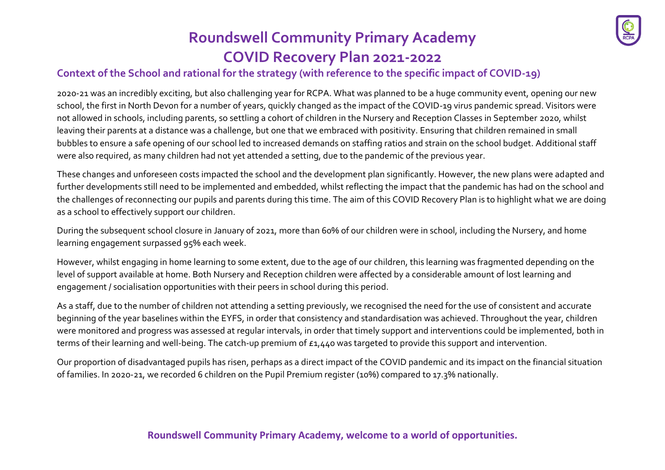

### **Context of the School and rational for the strategy (with reference to the specific impact of COVID-19)**

2020-21 was an incredibly exciting, but also challenging year for RCPA. What was planned to be a huge community event, opening our new school, the first in North Devon for a number of years, quickly changed as the impact of the COVID-19 virus pandemic spread. Visitors were not allowed in schools, including parents, so settling a cohort of children in the Nursery and Reception Classes in September 2020, whilst leaving their parents at a distance was a challenge, but one that we embraced with positivity. Ensuring that children remained in small bubbles to ensure a safe opening of our school led to increased demands on staffing ratios and strain on the school budget. Additional staff were also required, as many children had not yet attended a setting, due to the pandemic of the previous year.

These changes and unforeseen costs impacted the school and the development plan significantly. However, the new plans were adapted and further developments still need to be implemented and embedded, whilst reflecting the impact that the pandemic has had on the school and the challenges of reconnecting our pupils and parents during this time. The aim of this COVID Recovery Plan is to highlight what we are doing as a school to effectively support our children.

During the subsequent school closure in January 0f 2021, more than 60% of our children were in school, including the Nursery, and home learning engagement surpassed 95% each week.

However, whilst engaging in home learning to some extent, due to the age of our children, this learning was fragmented depending on the level of support available at home. Both Nursery and Reception children were affected by a considerable amount of lost learning and engagement / socialisation opportunities with their peers in school during this period.

As a staff, due to the number of children not attending a setting previously, we recognised the need for the use of consistent and accurate beginning of the year baselines within the EYFS, in order that consistency and standardisation was achieved. Throughout the year, children were monitored and progress was assessed at regular intervals, in order that timely support and interventions could be implemented, both in terms of their learning and well-being. The catch-up premium of £1,440 was targeted to provide this support and intervention.

Our proportion of disadvantaged pupils has risen, perhaps as a direct impact of the COVID pandemic and its impact on the financial situation of families. In 2020-21, we recorded 6 children on the Pupil Premium register (10%) compared to 17.3% nationally.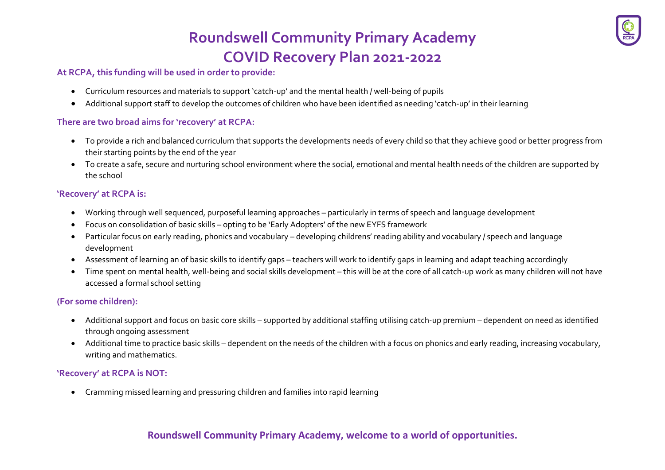#### **At RCPA, this funding will be used in order to provide:**

- Curriculum resources and materials to support 'catch-up' and the mental health / well-being of pupils
- Additional support staff to develop the outcomes of children who have been identified as needing 'catch-up' in their learning

#### **There are two broad aims for 'recovery' at RCPA:**

- To provide a rich and balanced curriculum that supports the developments needs of every child so that they achieve good or better progress from their starting points by the end of the year
- To create a safe, secure and nurturing school environment where the social, emotional and mental health needs of the children are supported by the school

#### **'Recovery' at RCPA is:**

- Working through well sequenced, purposeful learning approaches particularly in terms of speech and language development
- Focus on consolidation of basic skills opting to be 'Early Adopters' of the new EYFS framework
- Particular focus on early reading, phonics and vocabulary developing childrens' reading ability and vocabulary / speech and language development
- Assessment of learning an of basic skills to identify gaps teachers will work to identify gaps in learning and adapt teaching accordingly
- Time spent on mental health, well-being and social skills development this will be at the core of all catch-up work as many children will not have accessed a formal school setting

### **(For some children):**

- Additional support and focus on basic core skills supported by additional staffing utilising catch-up premium dependent on need as identified through ongoing assessment
- Additional time to practice basic skills dependent on the needs of the children with a focus on phonics and early reading, increasing vocabulary, writing and mathematics.

#### **'Recovery' at RCPA is NOT:**

• Cramming missed learning and pressuring children and families into rapid learning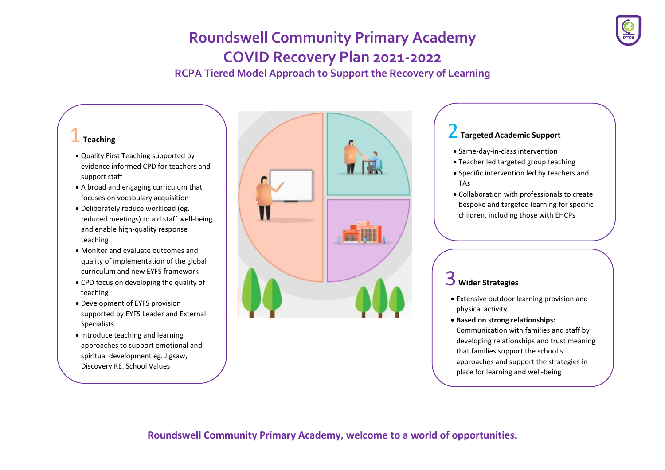**RCPA Tiered Model Approach to Support the Recovery of Learning**

#### 1**Teaching**

- Quality First Teaching supported by evidence informed CPD for teachers and support staff
- A broad and engaging curriculum that focuses on vocabulary acquisition
- Deliberately reduce workload (eg. reduced meetings) to aid staff well-being and enable high-quality response teaching
- Monitor and evaluate outcomes and quality of implementation of the global curriculum and new EYFS framework
- CPD focus on developing the quality of teaching
- Development of EYFS provision supported by EYFS Leader and External Specialists
- Introduce teaching and learning approaches to support emotional and spiritual development eg. Jigsaw, Discovery RE, School Values



### 2**Targeted Academic Support**

- Same-day-in-class intervention
- Teacher led targeted group teaching
- Specific intervention led by teachers and TAs
- Collaboration with professionals to create bespoke and targeted learning for specific children, including those with EHCPs

## 3 **Wider Strategies**

- Extensive outdoor learning provision and physical activity
- **Based on strong relationships:**

Communication with families and staff by developing relationships and trust meaning that families support the school's approaches and support the strategies in place for learning and well-being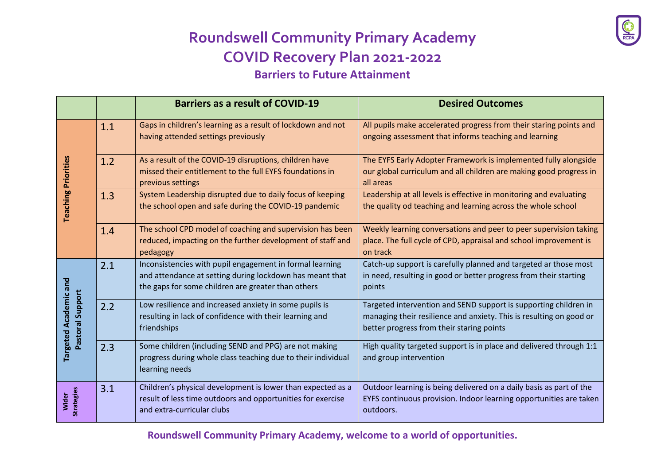# **Roundswell Community Primary Academy COVID Recovery Plan 2021-2022 Barriers to Future Attainment**

|                                                  |     | <b>Barriers as a result of COVID-19</b>                                                                                                                                    | <b>Desired Outcomes</b>                                                                                                                                                              |
|--------------------------------------------------|-----|----------------------------------------------------------------------------------------------------------------------------------------------------------------------------|--------------------------------------------------------------------------------------------------------------------------------------------------------------------------------------|
| <b>Teaching Priorities</b>                       | 1.1 | Gaps in children's learning as a result of lockdown and not<br>having attended settings previously                                                                         | All pupils make accelerated progress from their staring points and<br>ongoing assessment that informs teaching and learning                                                          |
|                                                  | 1.2 | As a result of the COVID-19 disruptions, children have<br>missed their entitlement to the full EYFS foundations in<br>previous settings                                    | The EYFS Early Adopter Framework is implemented fully alongside<br>our global curriculum and all children are making good progress in<br>all areas                                   |
|                                                  | 1.3 | System Leadership disrupted due to daily focus of keeping<br>the school open and safe during the COVID-19 pandemic                                                         | Leadership at all levels is effective in monitoring and evaluating<br>the quality od teaching and learning across the whole school                                                   |
|                                                  | 1.4 | The school CPD model of coaching and supervision has been<br>reduced, impacting on the further development of staff and<br>pedagogy                                        | Weekly learning conversations and peer to peer supervision taking<br>place. The full cycle of CPD, appraisal and school improvement is<br>on track                                   |
| <b>Targeted Academic and</b><br>Pastoral Support | 2.1 | Inconsistencies with pupil engagement in formal learning<br>and attendance at setting during lockdown has meant that<br>the gaps for some children are greater than others | Catch-up support is carefully planned and targeted ar those most<br>in need, resulting in good or better progress from their starting<br>points                                      |
|                                                  | 2.2 | Low resilience and increased anxiety in some pupils is<br>resulting in lack of confidence with their learning and<br>friendships                                           | Targeted intervention and SEND support is supporting children in<br>managing their resilience and anxiety. This is resulting on good or<br>better progress from their staring points |
|                                                  | 2.3 | Some children (including SEND and PPG) are not making<br>progress during whole class teaching due to their individual<br>learning needs                                    | High quality targeted support is in place and delivered through 1:1<br>and group intervention                                                                                        |
| <b>Strategies</b><br>Wider                       | 3.1 | Children's physical development is lower than expected as a<br>result of less time outdoors and opportunities for exercise<br>and extra-curricular clubs                   | Outdoor learning is being delivered on a daily basis as part of the<br>EYFS continuous provision. Indoor learning opportunities are taken<br>outdoors.                               |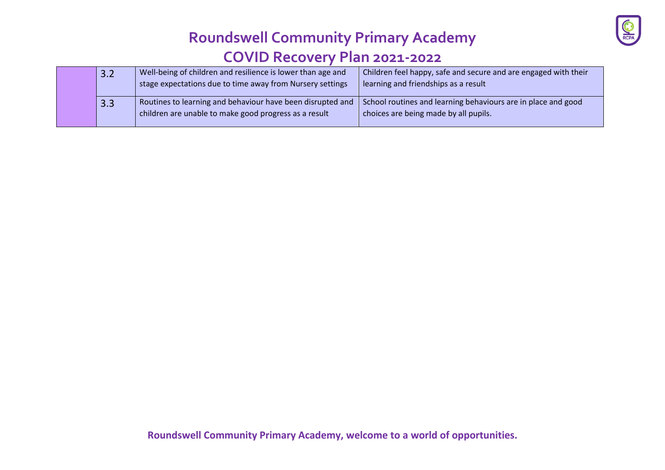

|  |  | 3.2 | Well-being of children and resilience is lower than age and<br>stage expectations due to time away from Nursery settings | Children feel happy, safe and secure and are engaged with their<br>learning and friendships as a result |
|--|--|-----|--------------------------------------------------------------------------------------------------------------------------|---------------------------------------------------------------------------------------------------------|
|  |  | 3.3 | Routines to learning and behaviour have been disrupted and<br>children are unable to make good progress as a result      | School routines and learning behaviours are in place and good<br>choices are being made by all pupils.  |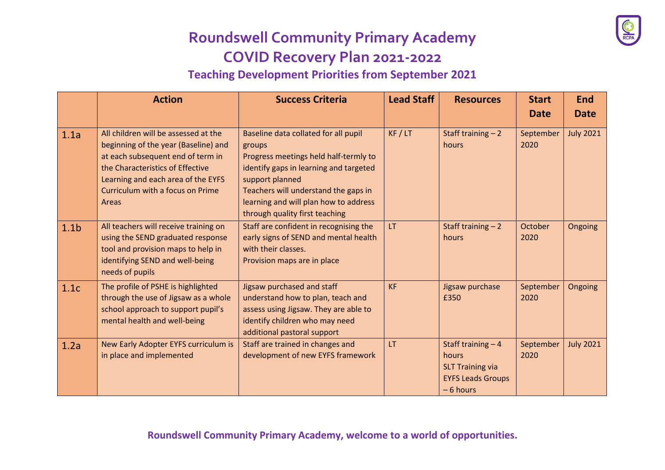**Teaching Development Priorities from September 2021**

|                  | <b>Action</b>                                                                                                                                                                                                                            | <b>Success Criteria</b>                                                                                                                                                                                                                                                 | <b>Lead Staff</b> | <b>Resources</b>                                                                                  | <b>Start</b><br><b>Date</b> | <b>End</b><br><b>Date</b> |
|------------------|------------------------------------------------------------------------------------------------------------------------------------------------------------------------------------------------------------------------------------------|-------------------------------------------------------------------------------------------------------------------------------------------------------------------------------------------------------------------------------------------------------------------------|-------------------|---------------------------------------------------------------------------------------------------|-----------------------------|---------------------------|
| 1.1a             | All children will be assessed at the<br>beginning of the year (Baseline) and<br>at each subsequent end of term in<br>the Characteristics of Effective<br>Learning and each area of the EYFS<br>Curriculum with a focus on Prime<br>Areas | Baseline data collated for all pupil<br>groups<br>Progress meetings held half-termly to<br>identify gaps in learning and targeted<br>support planned<br>Teachers will understand the gaps in<br>learning and will plan how to address<br>through quality first teaching | KF / LT           | Staff training $-2$<br>hours                                                                      | September<br>2020           | <b>July 2021</b>          |
| 1.1 <sub>b</sub> | All teachers will receive training on<br>using the SEND graduated response<br>tool and provision maps to help in<br>identifying SEND and well-being<br>needs of pupils                                                                   | Staff are confident in recognising the<br>early signs of SEND and mental health<br>with their classes.<br>Provision maps are in place                                                                                                                                   | LT                | Staff training $-2$<br>hours                                                                      | October<br>2020             | Ongoing                   |
| 1.1c             | The profile of PSHE is highlighted<br>through the use of Jigsaw as a whole<br>school approach to support pupil's<br>mental health and well-being                                                                                         | Jigsaw purchased and staff<br>understand how to plan, teach and<br>assess using Jigsaw. They are able to<br>identify children who may need<br>additional pastoral support                                                                                               | <b>KF</b>         | Jigsaw purchase<br>£350                                                                           | September<br>2020           | Ongoing                   |
| 1.2a             | New Early Adopter EYFS curriculum is<br>in place and implemented                                                                                                                                                                         | Staff are trained in changes and<br>development of new EYFS framework                                                                                                                                                                                                   | <b>LT</b>         | Staff training $-4$<br>hours<br><b>SLT Training via</b><br><b>EYFS Leads Groups</b><br>$-6$ hours | September<br>2020           | <b>July 2021</b>          |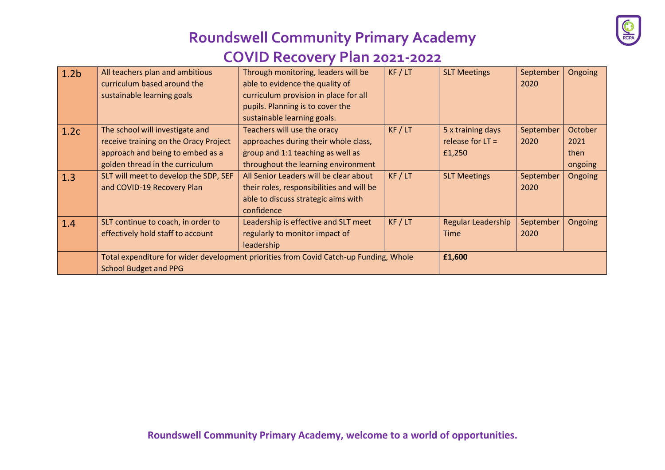

| 1.2 <sub>b</sub> | All teachers plan and ambitious                                                       | Through monitoring, leaders will be       | KF / LT | <b>SLT Meetings</b>       | September | Ongoing |
|------------------|---------------------------------------------------------------------------------------|-------------------------------------------|---------|---------------------------|-----------|---------|
|                  | curriculum based around the                                                           | able to evidence the quality of           |         |                           | 2020      |         |
|                  | sustainable learning goals                                                            | curriculum provision in place for all     |         |                           |           |         |
|                  |                                                                                       | pupils. Planning is to cover the          |         |                           |           |         |
|                  |                                                                                       | sustainable learning goals.               |         |                           |           |         |
| 1.2c             | The school will investigate and                                                       | Teachers will use the oracy               | KF / LT | 5 x training days         | September | October |
|                  | receive training on the Oracy Project                                                 | approaches during their whole class,      |         | release for $LT =$        | 2020      | 2021    |
|                  | approach and being to embed as a                                                      | group and 1:1 teaching as well as         |         | £1,250                    |           | then    |
|                  | golden thread in the curriculum                                                       | throughout the learning environment       |         |                           |           | ongoing |
| 1.3              | SLT will meet to develop the SDP, SEF                                                 | All Senior Leaders will be clear about    | KF / LT | <b>SLT Meetings</b>       | September | Ongoing |
|                  | and COVID-19 Recovery Plan                                                            | their roles, responsibilities and will be |         |                           | 2020      |         |
|                  |                                                                                       | able to discuss strategic aims with       |         |                           |           |         |
|                  |                                                                                       | confidence                                |         |                           |           |         |
| 1.4              | SLT continue to coach, in order to                                                    | Leadership is effective and SLT meet      | KF / LT | <b>Regular Leadership</b> | September | Ongoing |
|                  | effectively hold staff to account                                                     | regularly to monitor impact of            |         | <b>Time</b>               | 2020      |         |
|                  |                                                                                       | leadership                                |         |                           |           |         |
|                  | Total expenditure for wider development priorities from Covid Catch-up Funding, Whole |                                           |         | £1,600                    |           |         |
|                  | <b>School Budget and PPG</b>                                                          |                                           |         |                           |           |         |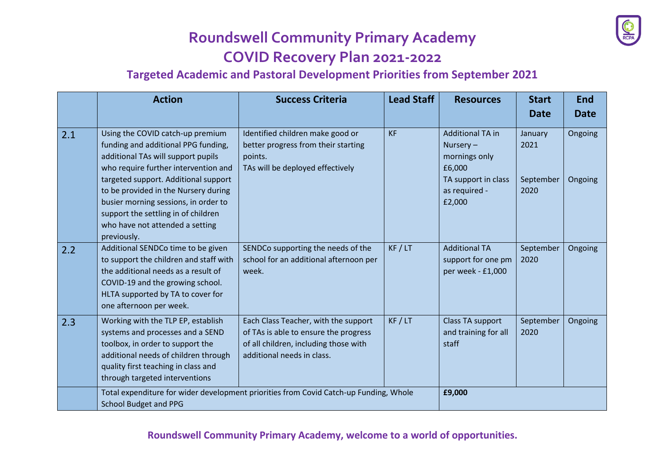

### **Targeted Academic and Pastoral Development Priorities from September 2021**

|     | <b>Action</b>                                                                                                                                                                                                                                                                                                                                                          | <b>Success Criteria</b>                                                                                                                              | <b>Lead Staff</b> | <b>Resources</b>                                                                                                 | <b>Start</b><br><b>Date</b>          | <b>End</b><br><b>Date</b> |  |
|-----|------------------------------------------------------------------------------------------------------------------------------------------------------------------------------------------------------------------------------------------------------------------------------------------------------------------------------------------------------------------------|------------------------------------------------------------------------------------------------------------------------------------------------------|-------------------|------------------------------------------------------------------------------------------------------------------|--------------------------------------|---------------------------|--|
| 2.1 | Using the COVID catch-up premium<br>funding and additional PPG funding,<br>additional TAs will support pupils<br>who require further intervention and<br>targeted support. Additional support<br>to be provided in the Nursery during<br>busier morning sessions, in order to<br>support the settling in of children<br>who have not attended a setting<br>previously. | Identified children make good or<br>better progress from their starting<br>points.<br>TAs will be deployed effectively                               | <b>KF</b>         | <b>Additional TA in</b><br>Nursery-<br>mornings only<br>£6,000<br>TA support in class<br>as required -<br>£2,000 | January<br>2021<br>September<br>2020 | Ongoing<br>Ongoing        |  |
| 2.2 | Additional SENDCo time to be given<br>to support the children and staff with<br>the additional needs as a result of<br>COVID-19 and the growing school.<br>HLTA supported by TA to cover for<br>one afternoon per week.                                                                                                                                                | SENDCo supporting the needs of the<br>school for an additional afternoon per<br>week.                                                                | KF / LT           | <b>Additional TA</b><br>support for one pm<br>per week - £1,000                                                  | September<br>2020                    | Ongoing                   |  |
| 2.3 | Working with the TLP EP, establish<br>systems and processes and a SEND<br>toolbox, in order to support the<br>additional needs of children through<br>quality first teaching in class and<br>through targeted interventions                                                                                                                                            | Each Class Teacher, with the support<br>of TAs is able to ensure the progress<br>of all children, including those with<br>additional needs in class. | KF / LT           | Class TA support<br>and training for all<br>staff                                                                | September<br>2020                    | Ongoing                   |  |
|     | Total expenditure for wider development priorities from Covid Catch-up Funding, Whole<br><b>School Budget and PPG</b>                                                                                                                                                                                                                                                  |                                                                                                                                                      |                   | £9,000                                                                                                           |                                      |                           |  |